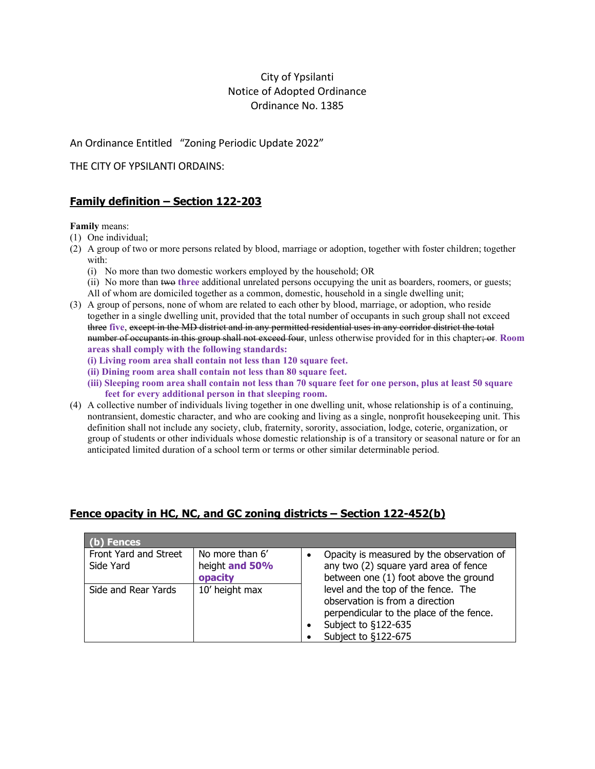# City of Ypsilanti Notice of Adopted Ordinance Ordinance No. 1385

An Ordinance Entitled "Zoning Periodic Update 2022"

THE CITY OF YPSILANTI ORDAINS:

# **Family definition – Section 122-203**

**Family** means:

- (1) One individual;
- (2) A group of two or more persons related by blood, marriage or adoption, together with foster children; together with:
	- (i) No more than two domestic workers employed by the household; OR
	- (ii) No more than two **three** additional unrelated persons occupying the unit as boarders, roomers, or guests; All of whom are domiciled together as a common, domestic, household in a single dwelling unit;
- (3) A group of persons, none of whom are related to each other by blood, marriage, or adoption, who reside together in a single dwelling unit, provided that the total number of occupants in such group shall not exceed three **five**, except in the MD district and in any permitted residential uses in any corridor district the total number of occupants in this group shall not exceed four, unless otherwise provided for in this chapter; or. **Room areas shall comply with the following standards:**
	- **(i) Living room area shall contain not less than 120 square feet.**
	- **(ii) Dining room area shall contain not less than 80 square feet.**
	- **(iii) Sleeping room area shall contain not less than 70 square feet for one person, plus at least 50 square feet for every additional person in that sleeping room.**
- (4) A collective number of individuals living together in one dwelling unit, whose relationship is of a continuing, nontransient, domestic character, and who are cooking and living as a single, nonprofit housekeeping unit. This definition shall not include any society, club, fraternity, sorority, association, lodge, coterie, organization, or group of students or other individuals whose domestic relationship is of a transitory or seasonal nature or for an anticipated limited duration of a school term or terms or other similar determinable period.

| ) Fences                           |                                              |                                                                                                                                                                  |  |  |  |  |
|------------------------------------|----------------------------------------------|------------------------------------------------------------------------------------------------------------------------------------------------------------------|--|--|--|--|
| Front Yard and Street<br>Side Yard | No more than 6'<br>height and 50%<br>opacity | Opacity is measured by the observation of<br>any two (2) square yard area of fence<br>between one (1) foot above the ground                                      |  |  |  |  |
| Side and Rear Yards                | 10' height max                               | level and the top of the fence. The<br>observation is from a direction<br>perpendicular to the place of the fence.<br>Subject to §122-635<br>Subject to §122-675 |  |  |  |  |

# **Fence opacity in HC, NC, and GC zoning districts – Section 122-452(b)**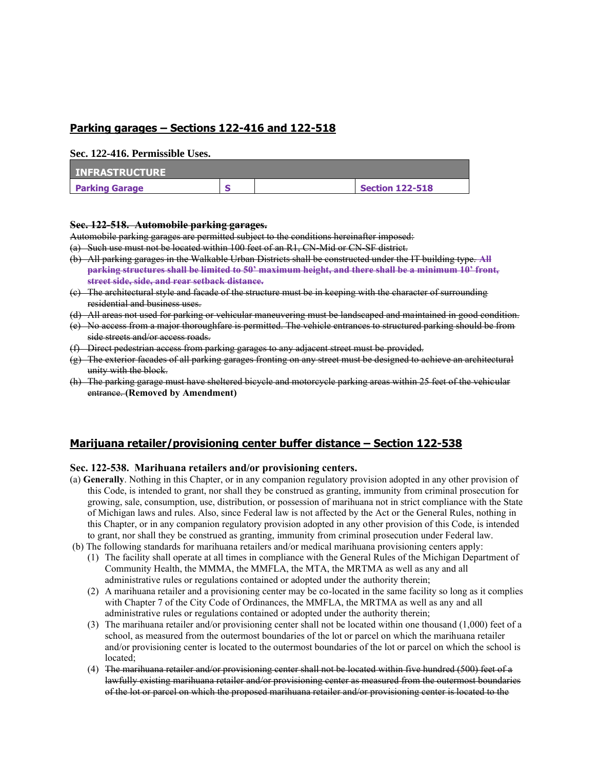### **Parking garages – Sections 122-416 and 122-518**

#### **Sec. 122-416. Permissible Uses.**

| <b>INFRASTRUCTURE</b> |  |                        |
|-----------------------|--|------------------------|
| <b>Parking Garage</b> |  | <b>Section 122-518</b> |

#### **Sec. 122-518. Automobile parking garages.**

Automobile parking garages are permitted subject to the conditions hereinafter imposed:

(a) Such use must not be located within 100 feet of an R1, CN-Mid or CN-SF district.

- (b) All parking garages in the Walkable Urban Districts shall be constructed under the IT building type. **All parking structures shall be limited to 50' maximum height, and there shall be a minimum 10' front, street side, side, and rear setback distance.**
- (c) The architectural style and facade of the structure must be in keeping with the character of surrounding residential and business uses.
- (d) All areas not used for parking or vehicular maneuvering must be landscaped and maintained in good condition.
- (e) No access from a major thoroughfare is permitted. The vehicle entrances to structured parking should be from side streets and/or access roads.
- (f) Direct pedestrian access from parking garages to any adjacent street must be provided.
- (g) The exterior facades of all parking garages fronting on any street must be designed to achieve an architectural unity with the block.
- (h) The parking garage must have sheltered bicycle and motorcycle parking areas within 25 feet of the vehicular entrance. **(Removed by Amendment)**

### **Marijuana retailer/provisioning center buffer distance – Section 122-538**

### **Sec. 122-538. Marihuana retailers and/or provisioning centers.**

- (a) **Generally**. Nothing in this Chapter, or in any companion regulatory provision adopted in any other provision of this Code, is intended to grant, nor shall they be construed as granting, immunity from criminal prosecution for growing, sale, consumption, use, distribution, or possession of marihuana not in strict compliance with the State of Michigan laws and rules. Also, since Federal law is not affected by the Act or the General Rules, nothing in this Chapter, or in any companion regulatory provision adopted in any other provision of this Code, is intended to grant, nor shall they be construed as granting, immunity from criminal prosecution under Federal law.
- (b) The following standards for marihuana retailers and/or medical marihuana provisioning centers apply:
	- (1) The facility shall operate at all times in compliance with the General Rules of the Michigan Department of Community Health, the MMMA, the MMFLA, the MTA, the MRTMA as well as any and all administrative rules or regulations contained or adopted under the authority therein;
	- (2) A marihuana retailer and a provisioning center may be co-located in the same facility so long as it complies with Chapter 7 of the City Code of Ordinances, the MMFLA, the MRTMA as well as any and all administrative rules or regulations contained or adopted under the authority therein;
	- (3) The marihuana retailer and/or provisioning center shall not be located within one thousand (1,000) feet of a school, as measured from the outermost boundaries of the lot or parcel on which the marihuana retailer and/or provisioning center is located to the outermost boundaries of the lot or parcel on which the school is located;
	- (4) The marihuana retailer and/or provisioning center shall not be located within five hundred (500) feet of a lawfully existing marihuana retailer and/or provisioning center as measured from the outermost boundaries of the lot or parcel on which the proposed marihuana retailer and/or provisioning center is located to the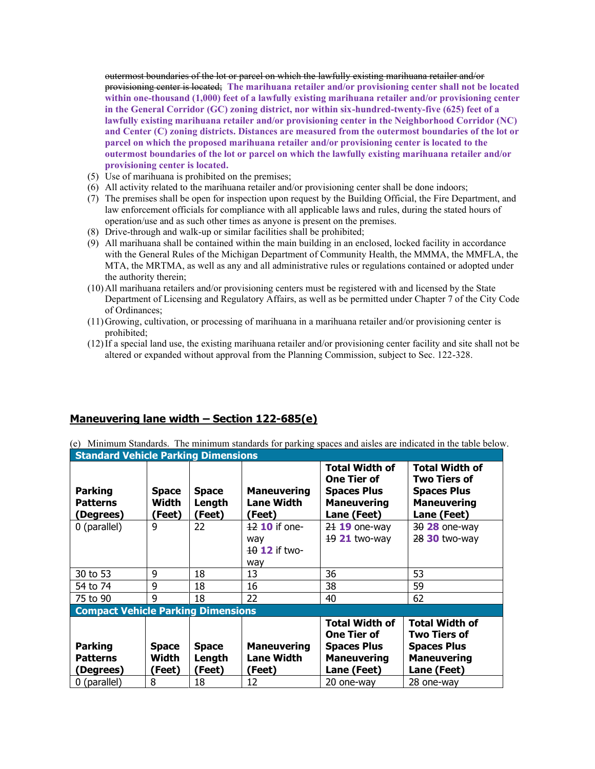outermost boundaries of the lot or parcel on which the lawfully existing marihuana retailer and/or provisioning center is located; **The marihuana retailer and/or provisioning center shall not be located within one-thousand (1,000) feet of a lawfully existing marihuana retailer and/or provisioning center in the General Corridor (GC) zoning district, nor within six-hundred-twenty-five (625) feet of a lawfully existing marihuana retailer and/or provisioning center in the Neighborhood Corridor (NC) and Center (C) zoning districts. Distances are measured from the outermost boundaries of the lot or parcel on which the proposed marihuana retailer and/or provisioning center is located to the outermost boundaries of the lot or parcel on which the lawfully existing marihuana retailer and/or provisioning center is located.**

- (5) Use of marihuana is prohibited on the premises;
- (6) All activity related to the marihuana retailer and/or provisioning center shall be done indoors;
- (7) The premises shall be open for inspection upon request by the Building Official, the Fire Department, and law enforcement officials for compliance with all applicable laws and rules, during the stated hours of operation/use and as such other times as anyone is present on the premises.
- (8) Drive-through and walk-up or similar facilities shall be prohibited;
- (9) All marihuana shall be contained within the main building in an enclosed, locked facility in accordance with the General Rules of the Michigan Department of Community Health, the MMMA, the MMFLA, the MTA, the MRTMA, as well as any and all administrative rules or regulations contained or adopted under the authority therein;
- (10)All marihuana retailers and/or provisioning centers must be registered with and licensed by the State Department of Licensing and Regulatory Affairs, as well as be permitted under Chapter 7 of the City Code of Ordinances;
- (11)Growing, cultivation, or processing of marihuana in a marihuana retailer and/or provisioning center is prohibited;
- (12)If a special land use, the existing marihuana retailer and/or provisioning center facility and site shall not be altered or expanded without approval from the Planning Commission, subject to Sec. 122-328.

### **Maneuvering lane width – Section 122-685(e)**

(e) Minimum Standards. The minimum standards for parking spaces and aisles are indicated in the table below. **Standard Vehicle Parking Dimensions**

| <b>Parking</b><br><b>Patterns</b><br>(Degrees) | <b>Space</b><br>Width<br>(Feet) | <b>Space</b><br>Length<br>(Feet) | <b>Maneuvering</b><br><b>Lane Width</b><br>(Feet) | <b>Total Width of</b><br><b>One Tier of</b><br><b>Spaces Plus</b><br><b>Maneuvering</b><br>Lane (Feet) | <b>Total Width of</b><br><b>Two Tiers of</b><br><b>Spaces Plus</b><br><b>Maneuvering</b><br>Lane (Feet) |
|------------------------------------------------|---------------------------------|----------------------------------|---------------------------------------------------|--------------------------------------------------------------------------------------------------------|---------------------------------------------------------------------------------------------------------|
| 0 (parallel)                                   | 9                               | 22                               | $12$ 10 if one-<br>way<br>10 12 if two-<br>way    | $2119$ one-way<br>19 21 two-way                                                                        | $3028$ one-way<br>28 30 two-way                                                                         |
| 30 to 53                                       | 9                               | 18                               | 13                                                | 36                                                                                                     | 53                                                                                                      |
| 54 to 74                                       | 9                               | 18                               | 16                                                | 38                                                                                                     | 59                                                                                                      |
| 75 to 90                                       | 9                               | 18                               | 22                                                | 40                                                                                                     | 62                                                                                                      |
| <b>Compact Vehicle Parking Dimensions</b>      |                                 |                                  |                                                   |                                                                                                        |                                                                                                         |
| <b>Parking</b><br><b>Patterns</b><br>(Degrees) | <b>Space</b><br>Width<br>(Feet) | <b>Space</b><br>Length<br>(Feet) | <b>Maneuvering</b><br><b>Lane Width</b><br>(Feet) | <b>Total Width of</b><br><b>One Tier of</b><br><b>Spaces Plus</b><br><b>Maneuvering</b><br>Lane (Feet) | <b>Total Width of</b><br><b>Two Tiers of</b><br><b>Spaces Plus</b><br><b>Maneuvering</b><br>Lane (Feet) |
| 0 (parallel)                                   | 8                               | 18                               | 12                                                | 20 one-way                                                                                             | 28 one-way                                                                                              |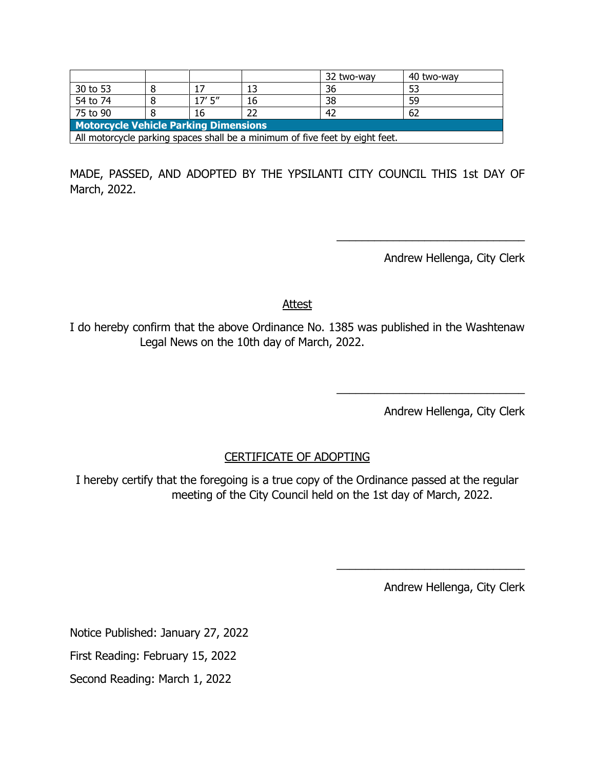|                                                                              |  |          |    | 32 two-way | 40 two-way |  |
|------------------------------------------------------------------------------|--|----------|----|------------|------------|--|
| 30 to 53                                                                     |  | 17       |    | 36         |            |  |
| 54 to 74                                                                     |  | $17'$ 5" | 16 | 38         | 59         |  |
| 75 to 90                                                                     |  | 16       |    | 42         | 62         |  |
| <b>Motorcycle Vehicle Parking Dimensions</b>                                 |  |          |    |            |            |  |
| All motorcycle parking spaces shall be a minimum of five feet by eight feet. |  |          |    |            |            |  |

MADE, PASSED, AND ADOPTED BY THE YPSILANTI CITY COUNCIL THIS 1st DAY OF March, 2022.

Andrew Hellenga, City Clerk

\_\_\_\_\_\_\_\_\_\_\_\_\_\_\_\_\_\_\_\_\_\_\_\_\_\_\_\_\_\_

**Attest** 

I do hereby confirm that the above Ordinance No. 1385 was published in the Washtenaw Legal News on the 10th day of March, 2022.

Andrew Hellenga, City Clerk

\_\_\_\_\_\_\_\_\_\_\_\_\_\_\_\_\_\_\_\_\_\_\_\_\_\_\_\_\_\_

# CERTIFICATE OF ADOPTING

I hereby certify that the foregoing is a true copy of the Ordinance passed at the regular meeting of the City Council held on the 1st day of March, 2022.

Andrew Hellenga, City Clerk

\_\_\_\_\_\_\_\_\_\_\_\_\_\_\_\_\_\_\_\_\_\_\_\_\_\_\_\_\_\_

Notice Published: January 27, 2022

First Reading: February 15, 2022

Second Reading: March 1, 2022